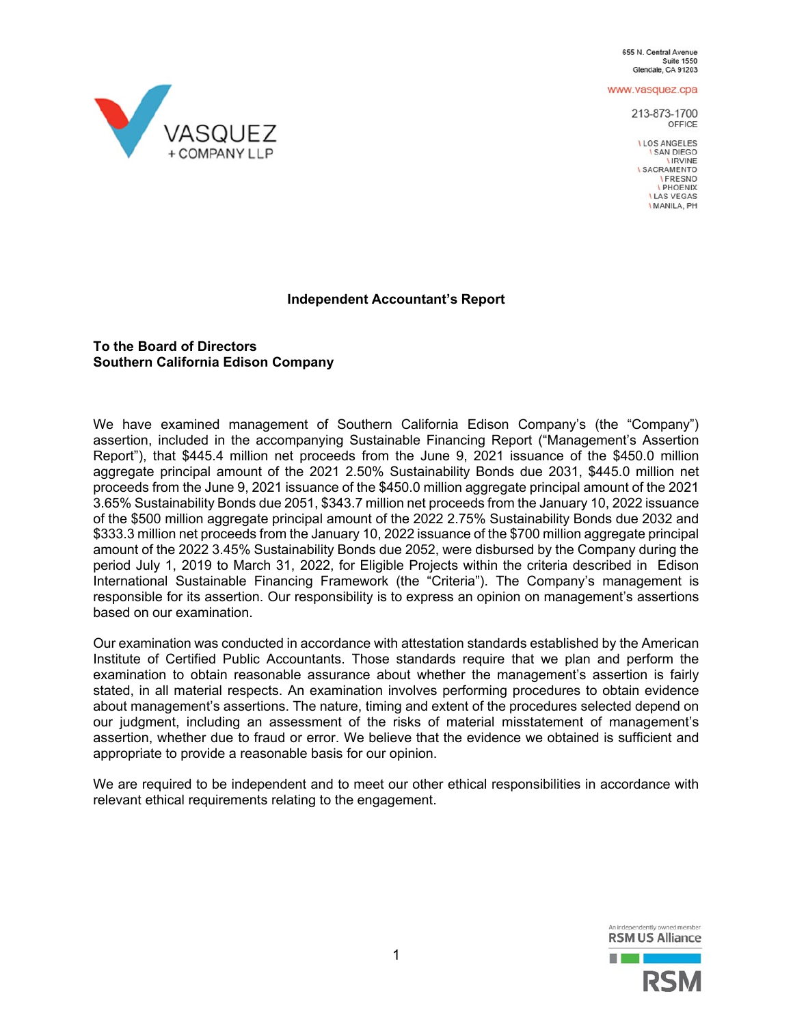655 N. Central Avenue **Suite 1550** Glendale, CA 91203

www.vasquez.cpa

213-873-1700 OFFICE

LLOS ANGELES **I SAN DIEGO LIRVINE I SACRAMENTO IFRESNO I PHOENIX ILAS VEGAS I MANILA, PH** 



## **To the Board of Directors Southern California Edison Company**

We have examined management of Southern California Edison Company's (the "Company") assertion, included in the accompanying Sustainable Financing Report ("Management's Assertion Report"), that \$445.4 million net proceeds from the June 9, 2021 issuance of the \$450.0 million aggregate principal amount of the 2021 2.50% Sustainability Bonds due 2031, \$445.0 million net proceeds from the June 9, 2021 issuance of the \$450.0 million aggregate principal amount of the 2021 3.65% Sustainability Bonds due 2051, \$343.7 million net proceeds from the January 10, 2022 issuance of the \$500 million aggregate principal amount of the 2022 2.75% Sustainability Bonds due 2032 and \$333.3 million net proceeds from the January 10, 2022 issuance of the \$700 million aggregate principal amount of the 2022 3.45% Sustainability Bonds due 2052, were disbursed by the Company during the period July 1, 2019 to March 31, 2022, for Eligible Projects within the criteria described in Edison International Sustainable Financing Framework (the "Criteria"). The Company's management is responsible for its assertion. Our responsibility is to express an opinion on management's assertions based on our examination.

Our examination was conducted in accordance with attestation standards established by the American Institute of Certified Public Accountants. Those standards require that we plan and perform the examination to obtain reasonable assurance about whether the management's assertion is fairly stated, in all material respects. An examination involves performing procedures to obtain evidence about management's assertions. The nature, timing and extent of the procedures selected depend on our judgment, including an assessment of the risks of material misstatement of management's assertion, whether due to fraud or error. We believe that the evidence we obtained is sufficient and appropriate to provide a reasonable basis for our opinion.

We are required to be independent and to meet our other ethical responsibilities in accordance with relevant ethical requirements relating to the engagement.



VASQUEZ